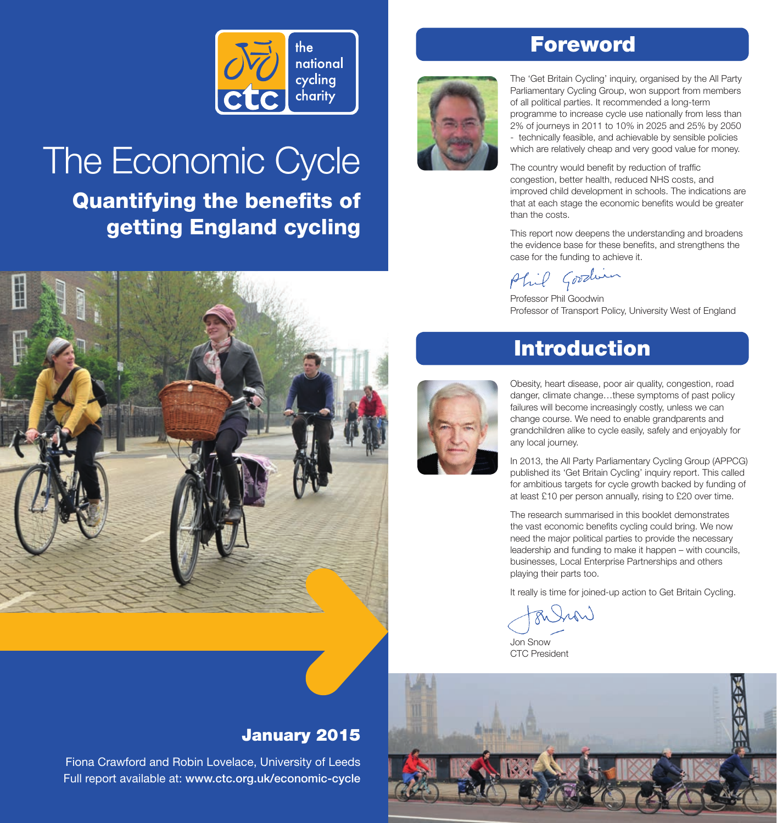

# The Economic Cycle

Quantifying the benefits of getting England cycling

# Foreword



The 'Get Britain Cycling' inquiry, organised by the All Party Parliamentary Cycling Group, won support from members of all political parties. It recommended a long-term programme to increase cycle use nationally from less than 2% of journeys in 2011 to 10% in 2025 and 25% by 2050 - technically feasible, and achievable by sensible policies which are relatively cheap and very good value for money.

The country would benefit by reduction of traffic congestion, better health, reduced NHS costs, and improved child development in schools. The indications are that at each stage the economic benefits would be greater than the costs.

This report now deepens the understanding and broadens the evidence base for these benefits, and strengthens the case for the funding to achieve it.

Phil Goodin

Professor Phil Goodwin Professor of Transport Policy, University West of England



# Introduction



Obesity, heart disease, poor air quality, congestion, road danger, climate change…these symptoms of past policy failures will become increasingly costly, unless we can change course. We need to enable grandparents and grandchildren alike to cycle easily, safely and enjoyably for any local journey.

In 2013, the All Party Parliamentary Cycling Group (APPCG) published its 'Get Britain Cycling' inquiry report. This called for ambitious targets for cycle growth backed by funding of at least £10 per person annually, rising to £20 over time.

The research summarised in this booklet demonstrates the vast economic benefits cycling could bring. We now need the major political parties to provide the necessary leadership and funding to make it happen – with councils, businesses, Local Enterprise Partnerships and others playing their parts too.

It really is time for joined-up action to Get Britain Cycling.

R Jun

Jon Snow CTC President



### January 2015

Fiona Crawford and Robin Lovelace, University of Leeds Full report available at: [www.ctc.org.uk/economic-cycle](http://www.ctc.org.uk/economic-cycle)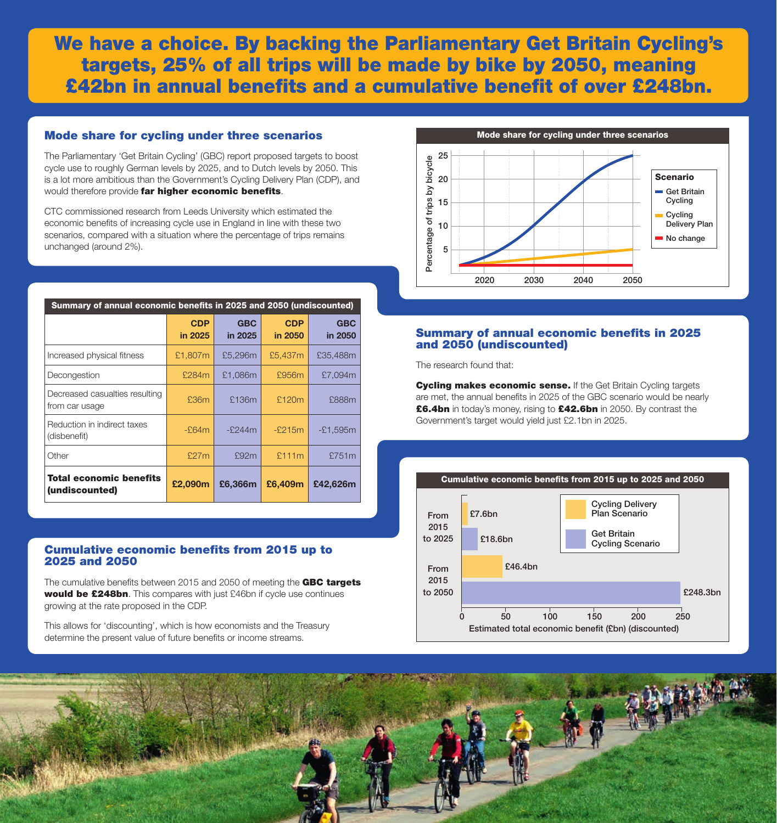### We have a choice. By backing the Parliamentary Get Britain Cycling's targets, 25% of all trips will be made by bike by 2050, meaning £42bn in annual benefits and a cumulative benefit of over £248bn.

#### Mode share for cycling under three scenarios

The Parliamentary 'Get Britain Cycling' (GBC) report proposed targets to boost cycle use to roughly German levels by 2025, and to Dutch levels by 2050. This is a lot more ambitious than the Government's Cycling Delivery Plan (CDP), and would therefore provide far higher economic benefits.

CTC commissioned research from Leeds University which estimated the economic benefits of increasing cycle use in England in line with these two scenarios, compared with a situation where the percentage of trips remains unchanged (around 2%).

| Summary of annual economic benefits in 2025 and 2050 (undiscounted) |                       |                       |                       |                       |  |
|---------------------------------------------------------------------|-----------------------|-----------------------|-----------------------|-----------------------|--|
|                                                                     | <b>CDP</b><br>in 2025 | <b>GBC</b><br>in 2025 | <b>CDP</b><br>in 2050 | <b>GBC</b><br>in 2050 |  |
| Increased physical fitness                                          | £1,807m               | £5,296m               | £5,437m               | £35,488m              |  |
| Decongestion                                                        | £284m                 | £1,086m               | £956m                 | £7,094m               |  |
| Decreased casualties resulting<br>from car usage                    | £36m                  | £136m                 | £120m                 | £888m                 |  |
| Reduction in indirect taxes<br>(disbenefit)                         | $-E64m$               | $-2244m$              | $-2215m$              | $-£1,595m$            |  |
| Other                                                               | £27m                  | £92m                  | £111m                 | £751m                 |  |
| <b>Total economic benefits</b><br>(undiscounted)                    | £2,090m               | £6.366m               | £6.409m               | £42.626m              |  |

#### Cumulative economic benefits from 2015 up to 2025 and 2050

The cumulative benefits between 2015 and 2050 of meeting the GBC targets would be £248bn. This compares with just £46bn if cycle use continues growing at the rate proposed in the CDP.

This allows for 'discounting', which is how economists and the Treasury determine the present value of future benefits or income streams.



#### Summary of annual economic benefits in 2025 and 2050 (undiscounted)

The research found that:

**Cycling makes economic sense.** If the Get Britain Cycling targets are met, the annual benefits in 2025 of the GBC scenario would be nearly £6.4bn in today's money, rising to £42.6bn in 2050. By contrast the Government's target would yield just £2.1bn in 2025.